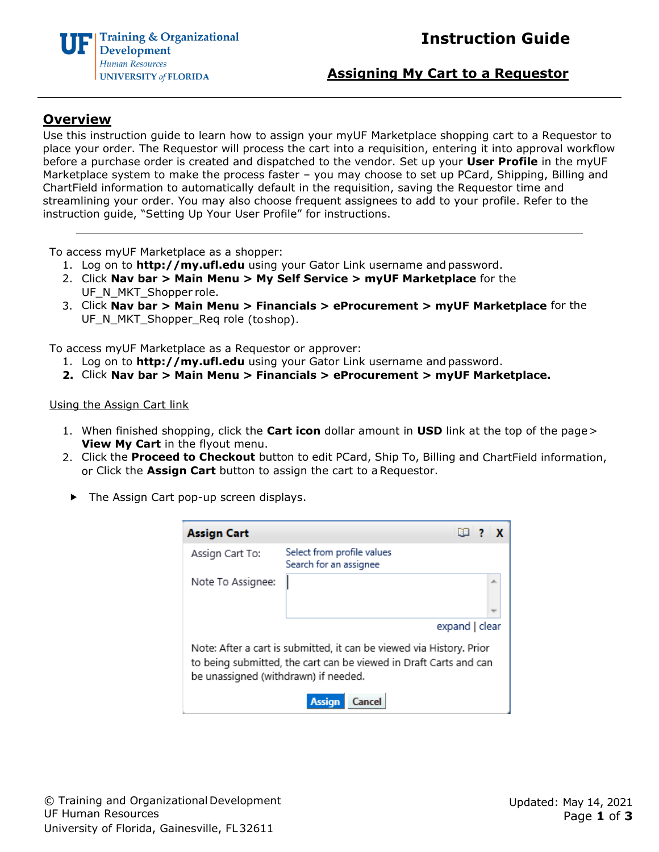

## **Assigning My Cart to a Requestor**

# **Overview**

Use this instruction guide to learn how to assign your myUF Marketplace shopping cart to a Requestor to place your order. The Requestor will process the cart into a requisition, entering it into approval workflow before a purchase order is created and dispatched to the vendor. Set up your **User Profile** in the myUF Marketplace system to make the process faster – you may choose to set up PCard, Shipping, Billing and ChartField information to automatically default in the requisition, saving the Requestor time and streamlining your order. You may also choose frequent assignees to add to your profile. Refer to the instruction guide, "Setting Up Your User Profile" for instructions.

To access myUF Marketplace as a shopper:

- 1. Log on to **[http://my.ufl.edu](http://my.ufl.edu/)** using your Gator Link username and password.
- 2. Click **Nav bar > Main Menu > My Self Service > myUF Marketplace** for the UF\_N\_MKT\_Shopper role.
- 3. Click **Nav bar > Main Menu > Financials > eProcurement > myUF Marketplace** for the UF\_N\_MKT\_Shopper\_Req role (toshop).

To access myUF Marketplace as a Requestor or approver:

- 1. Log on to **[http://my.ufl.edu](http://my.ufl.edu/)** using your Gator Link username and password.
- **2.** Click **Nav bar > Main Menu > Financials > eProcurement > myUF Marketplace.**

#### Using the Assign Cart link

- 1. When finished shopping, click the **Cart icon** dollar amount in **USD** link at the top of the page> **View My Cart** in the flyout menu.
- 2. Click the **Proceed to Checkout** button to edit PCard, Ship To, Billing and ChartField information, or Click the **Assign Cart** button to assign the cart to aRequestor.
- ▶ The Assign Cart pop-up screen displays.

| Assign Cart                                                                                                                                                                       | E8 7 X                                               |    |  |  |  |
|-----------------------------------------------------------------------------------------------------------------------------------------------------------------------------------|------------------------------------------------------|----|--|--|--|
| Assign Cart To:                                                                                                                                                                   | Select from profile values<br>Search for an assignee |    |  |  |  |
| Note To Assignee:                                                                                                                                                                 |                                                      | A. |  |  |  |
|                                                                                                                                                                                   | expand   clear                                       |    |  |  |  |
| Note: After a cart is submitted, it can be viewed via History. Prior<br>to being submitted, the cart can be viewed in Draft Carts and can<br>be unassigned (withdrawn) if needed. |                                                      |    |  |  |  |
|                                                                                                                                                                                   | <b>Assign</b>                                        |    |  |  |  |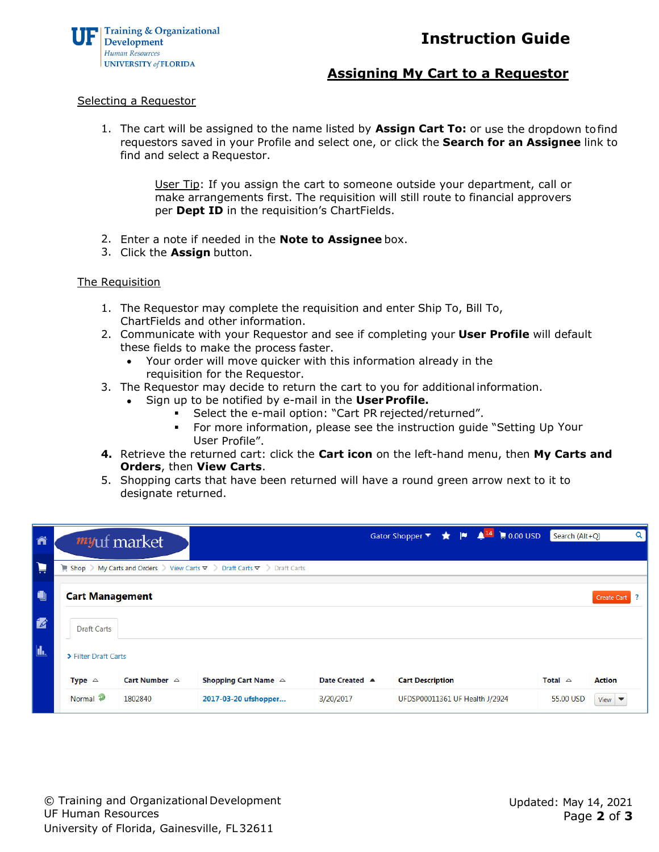



## **Assigning My Cart to a Requestor**

#### Selecting a Requestor

1. The cart will be assigned to the name listed by **Assign Cart To:** or use the dropdown tofind requestors saved in your Profile and select one, or click the **Search for an Assignee** link to find and select a Requestor.

> User Tip: If you assign the cart to someone outside your department, call or make arrangements first. The requisition will still route to financial approvers per **Dept ID** in the requisition's ChartFields.

- 2. Enter a note if needed in the **Note to Assignee** box.
- 3. Click the **Assign** button.

#### The Requisition

- 1. The Requestor may complete the requisition and enter Ship To, Bill To, ChartFields and other information.
- 2. Communicate with your Requestor and see if completing your **User Profile** will default these fields to make the process faster.
	- Your order will move quicker with this information already in the requisition for the Requestor.
- 3. The Requestor may decide to return the cart to you for additional information.
	- Sign up to be notified by e-mail in the **UserProfile.**
		- Select the e-mail option: "Cart PR rejected/returned".
		- For more information, please see the instruction guide "Setting Up Your User Profile".
- **4.** Retrieve the returned cart: click the **Cart icon** on the left-hand menu, then **My Carts and Orders**, then **View Carts**.
- 5. Shopping carts that have been returned will have a round green arrow next to it to designate returned.

| ñ            |                        | <i>my</i> uf market     |                                                                                                               |                | Gator Shopper ▼                |  | $\begin{array}{ccc}\n\bigstar & \vert\blacksquare & \blacktriangle^{14}\n\end{array} \rightleftharpoons 0.00 \text{ USD}\n\end{array}$ | Search (Alt+O)    |                           | Q |
|--------------|------------------------|-------------------------|---------------------------------------------------------------------------------------------------------------|----------------|--------------------------------|--|----------------------------------------------------------------------------------------------------------------------------------------|-------------------|---------------------------|---|
| Þ            |                        |                         | Shop > My Carts and Orders > View Carts $\blacktriangledown$ > Draft Carts $\blacktriangledown$ > Draft Carts |                |                                |  |                                                                                                                                        |                   |                           |   |
| O            | <b>Cart Management</b> |                         |                                                                                                               |                |                                |  |                                                                                                                                        |                   | Create Cart               |   |
| $\mathbb{Z}$ | <b>Draft Carts</b>     |                         |                                                                                                               |                |                                |  |                                                                                                                                        |                   |                           |   |
| $\mathbf{L}$ | > Filter Draft Carts   |                         |                                                                                                               |                |                                |  |                                                                                                                                        |                   |                           |   |
|              | Type $\triangle$       | Cart Number $\triangle$ | Shopping Cart Name $\triangle$                                                                                | Date Created ▲ | <b>Cart Description</b>        |  |                                                                                                                                        | Total $\triangle$ | <b>Action</b>             |   |
|              | Normal <sup>2</sup>    | 1802840                 | 2017-03-20 ufshopper                                                                                          | 3/20/2017      | UFDSP00011361 UF Health J/2924 |  |                                                                                                                                        | 55.00 USD         | View $\blacktriangledown$ |   |